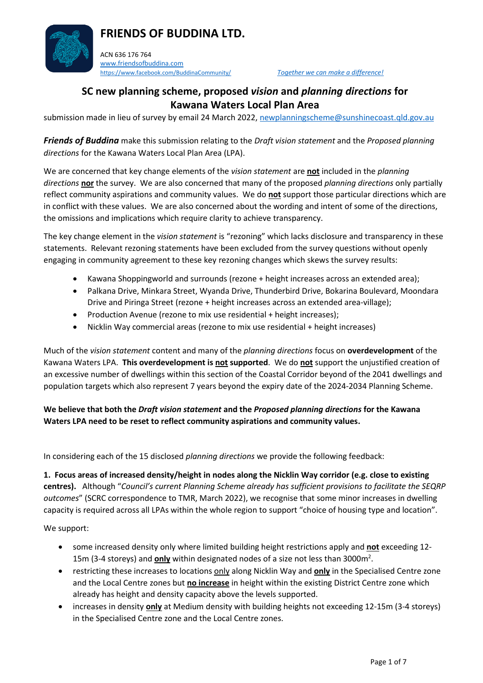

ACN 636 176 764 [www.friendsofbuddina.com](http://www.friendsofbuddina.com/) <https://www.facebook.com/BuddinaCommunity/> *Together we can make a difference!* 

## **SC new planning scheme, proposed** *vision* **and** *planning directions* **for Kawana Waters Local Plan Area**

submission made in lieu of survey by email 24 March 2022, [newplanningscheme@sunshinecoast.qld.gov.au](mailto:newplanningscheme@sunshinecoast.qld.gov.au)

*Friends of Buddina* make this submission relating to the *Draft vision statement* and the *Proposed planning directions* for the Kawana Waters Local Plan Area (LPA).

We are concerned that key change elements of the *vision statement* are **not** included in the *planning directions* **nor** the survey. We are also concerned that many of the proposed *planning directions* only partially reflect community aspirations and community values. We do **not** support those particular directions which are in conflict with these values. We are also concerned about the wording and intent of some of the directions, the omissions and implications which require clarity to achieve transparency.

The key change element in the *vision statement* is "rezoning" which lacks disclosure and transparency in these statements. Relevant rezoning statements have been excluded from the survey questions without openly engaging in community agreement to these key rezoning changes which skews the survey results:

- Kawana Shoppingworld and surrounds (rezone + height increases across an extended area);
- Palkana Drive, Minkara Street, Wyanda Drive, Thunderbird Drive, Bokarina Boulevard, Moondara Drive and Piringa Street (rezone + height increases across an extended area-village);
- Production Avenue (rezone to mix use residential + height increases);
- Nicklin Way commercial areas (rezone to mix use residential + height increases)

Much of the *vision statement* content and many of the *planning directions* focus on **overdevelopment** of the Kawana Waters LPA. **This overdevelopment is not supported**. We do **not** support the unjustified creation of an excessive number of dwellings within this section of the Coastal Corridor beyond of the 2041 dwellings and population targets which also represent 7 years beyond the expiry date of the 2024-2034 Planning Scheme.

**We believe that both the** *Draft vision statement* **and the** *Proposed planning directions* **for the Kawana Waters LPA need to be reset to reflect community aspirations and community values.**

In considering each of the 15 disclosed *planning directions* we provide the following feedback:

**1. Focus areas of increased density/height in nodes along the Nicklin Way corridor (e.g. close to existing centres).** Although "*Council's current Planning Scheme already has sufficient provisions to facilitate the SEQRP outcomes*" (SCRC correspondence to TMR, March 2022), we recognise that some minor increases in dwelling capacity is required across all LPAs within the whole region to support "choice of housing type and location".

We support:

- some increased density only where limited building height restrictions apply and **not** exceeding 12- 15m (3-4 storeys) and **only** within designated nodes of a size not less than 3000m<sup>2</sup>.
- restricting these increases to locations only along Nicklin Way and **only** in the Specialised Centre zone and the Local Centre zones but **no increase** in height within the existing District Centre zone which already has height and density capacity above the levels supported.
- increases in density **only** at Medium density with building heights not exceeding 12-15m (3-4 storeys) in the Specialised Centre zone and the Local Centre zones.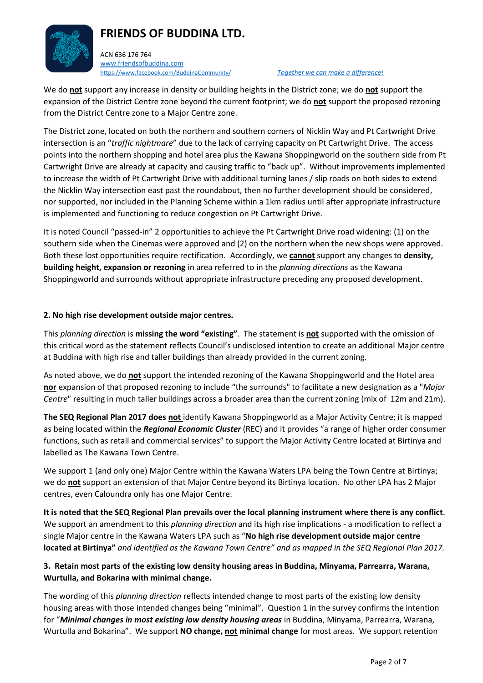ACN 636 176 764 [www.friendsofbuddina.com](http://www.friendsofbuddina.com/) <https://www.facebook.com/BuddinaCommunity/> *Together we can make a difference!* 

We do **not** support any increase in density or building heights in the District zone; we do **not** support the expansion of the District Centre zone beyond the current footprint; we do **not** support the proposed rezoning from the District Centre zone to a Major Centre zone.

The District zone, located on both the northern and southern corners of Nicklin Way and Pt Cartwright Drive intersection is an "*traffic nightmare*" due to the lack of carrying capacity on Pt Cartwright Drive. The access points into the northern shopping and hotel area plus the Kawana Shoppingworld on the southern side from Pt Cartwright Drive are already at capacity and causing traffic to "back up". Without improvements implemented to increase the width of Pt Cartwright Drive with additional turning lanes / slip roads on both sides to extend the Nicklin Way intersection east past the roundabout, then no further development should be considered, nor supported, nor included in the Planning Scheme within a 1km radius until after appropriate infrastructure is implemented and functioning to reduce congestion on Pt Cartwright Drive.

It is noted Council "passed-in" 2 opportunities to achieve the Pt Cartwright Drive road widening: (1) on the southern side when the Cinemas were approved and (2) on the northern when the new shops were approved. Both these lost opportunities require rectification. Accordingly, we **cannot** support any changes to **density, building height, expansion or rezoning** in area referred to in the *planning directions* as the Kawana Shoppingworld and surrounds without appropriate infrastructure preceding any proposed development.

#### **2. No high rise development outside major centres.**

This *planning direction* is **missing the word "existing"**. The statement is **not** supported with the omission of this critical word as the statement reflects Council's undisclosed intention to create an additional Major centre at Buddina with high rise and taller buildings than already provided in the current zoning.

As noted above, we do **not** support the intended rezoning of the Kawana Shoppingworld and the Hotel area **nor** expansion of that proposed rezoning to include "the surrounds" to facilitate a new designation as a "*Major Centre*" resulting in much taller buildings across a broader area than the current zoning (mix of 12m and 21m).

**The SEQ Regional Plan 2017 does not** identify Kawana Shoppingworld as a Major Activity Centre; it is mapped as being located within the *Regional Economic Cluster* (REC) and it provides "a range of higher order consumer functions, such as retail and commercial services" to support the Major Activity Centre located at Birtinya and labelled as The Kawana Town Centre.

We support 1 (and only one) Major Centre within the Kawana Waters LPA being the Town Centre at Birtinya; we do **not** support an extension of that Major Centre beyond its Birtinya location. No other LPA has 2 Major centres, even Caloundra only has one Major Centre.

**It is noted that the SEQ Regional Plan prevails over the local planning instrument where there is any conflict**. We support an amendment to this *planning direction* and its high rise implications - a modification to reflect a single Major centre in the Kawana Waters LPA such as "**No high rise development outside major centre located at Birtinya"** *and identified as the Kawana Town Centre" and as mapped in the SEQ Regional Plan 2017.*

### **3. Retain most parts of the existing low density housing areas in Buddina, Minyama, Parrearra, Warana, Wurtulla, and Bokarina with minimal change.**

The wording of this *planning direction* reflects intended change to most parts of the existing low density housing areas with those intended changes being "minimal". Question 1 in the survey confirms the intention for "*Minimal changes in most existing low density housing areas* in Buddina, Minyama, Parrearra, Warana, Wurtulla and Bokarina". We support **NO change, not minimal change** for most areas. We support retention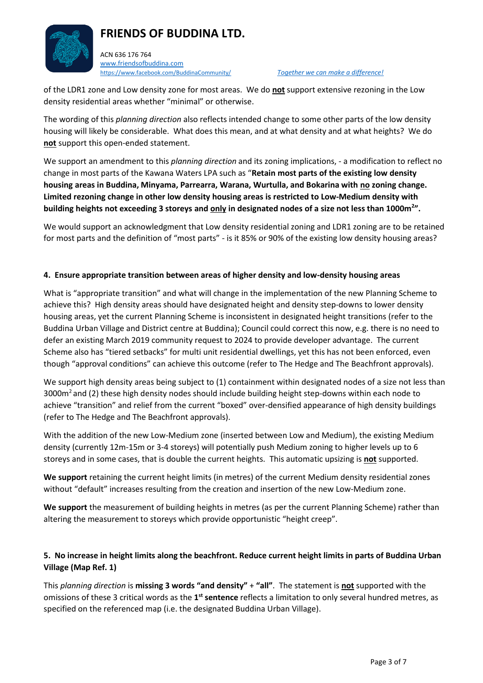

of the LDR1 zone and Low density zone for most areas. We do **not** support extensive rezoning in the Low density residential areas whether "minimal" or otherwise.

The wording of this *planning direction* also reflects intended change to some other parts of the low density housing will likely be considerable. What does this mean, and at what density and at what heights? We do **not** support this open-ended statement.

We support an amendment to this *planning direction* and its zoning implications, - a modification to reflect no change in most parts of the Kawana Waters LPA such as "**Retain most parts of the existing low density housing areas in Buddina, Minyama, Parrearra, Warana, Wurtulla, and Bokarina with no zoning change. Limited rezoning change in other low density housing areas is restricted to Low-Medium density with building heights not exceeding 3 storeys and only in designated nodes of a size not less than 1000m<sup>2</sup> ".**

We would support an acknowledgment that Low density residential zoning and LDR1 zoning are to be retained for most parts and the definition of "most parts" - is it 85% or 90% of the existing low density housing areas?

#### **4. Ensure appropriate transition between areas of higher density and low-density housing areas**

What is "appropriate transition" and what will change in the implementation of the new Planning Scheme to achieve this? High density areas should have designated height and density step-downs to lower density housing areas, yet the current Planning Scheme is inconsistent in designated height transitions (refer to the Buddina Urban Village and District centre at Buddina); Council could correct this now, e.g. there is no need to defer an existing March 2019 community request to 2024 to provide developer advantage. The current Scheme also has "tiered setbacks" for multi unit residential dwellings, yet this has not been enforced, even though "approval conditions" can achieve this outcome (refer to The Hedge and The Beachfront approvals).

We support high density areas being subject to (1) containment within designated nodes of a size not less than 3000 $m<sup>2</sup>$  and (2) these high density nodes should include building height step-downs within each node to achieve "transition" and relief from the current "boxed" over-densified appearance of high density buildings (refer to The Hedge and The Beachfront approvals).

With the addition of the new Low-Medium zone (inserted between Low and Medium), the existing Medium density (currently 12m-15m or 3-4 storeys) will potentially push Medium zoning to higher levels up to 6 storeys and in some cases, that is double the current heights. This automatic upsizing is **not** supported.

**We support** retaining the current height limits (in metres) of the current Medium density residential zones without "default" increases resulting from the creation and insertion of the new Low-Medium zone.

We support the measurement of building heights in metres (as per the current Planning Scheme) rather than altering the measurement to storeys which provide opportunistic "height creep".

### **5. No increase in height limits along the beachfront. Reduce current height limits in parts of Buddina Urban Village (Map Ref. 1)**

This *planning direction* is **missing 3 words "and density"** + **"all"**. The statement is **not** supported with the omissions of these 3 critical words as the 1<sup>st</sup> sentence reflects a limitation to only several hundred metres, as specified on the referenced map (i.e. the designated Buddina Urban Village).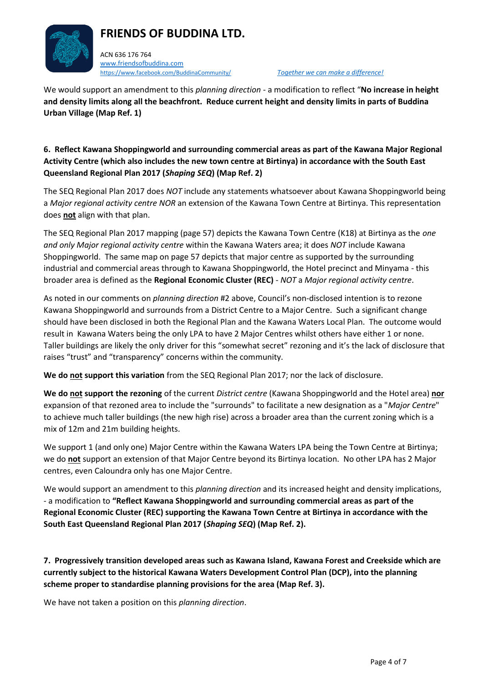

ACN 636 176 764 [www.friendsofbuddina.com](http://www.friendsofbuddina.com/) <https://www.facebook.com/BuddinaCommunity/> *Together we can make a difference!* 

We would support an amendment to this *planning direction* - a modification to reflect "**No increase in height and density limits along all the beachfront. Reduce current height and density limits in parts of Buddina Urban Village (Map Ref. 1)**

### **6. Reflect Kawana Shoppingworld and surrounding commercial areas as part of the Kawana Major Regional Activity Centre (which also includes the new town centre at Birtinya) in accordance with the South East Queensland Regional Plan 2017 (***Shaping SEQ***) (Map Ref. 2)**

The SEQ Regional Plan 2017 does *NOT* include any statements whatsoever about Kawana Shoppingworld being a *Major regional activity centre NOR* an extension of the Kawana Town Centre at Birtinya. This representation does **not** align with that plan.

The SEQ Regional Plan 2017 mapping (page 57) depicts the Kawana Town Centre (K18) at Birtinya as the *one and only Major regional activity centre* within the Kawana Waters area; it does *NOT* include Kawana Shoppingworld. The same map on page 57 depicts that major centre as supported by the surrounding industrial and commercial areas through to Kawana Shoppingworld, the Hotel precinct and Minyama - this broader area is defined as the **Regional Economic Cluster (REC)** - *NOT* a *Major regional activity centre*.

As noted in our comments on *planning direction* #2 above, Council's non-disclosed intention is to rezone Kawana Shoppingworld and surrounds from a District Centre to a Major Centre. Such a significant change should have been disclosed in both the Regional Plan and the Kawana Waters Local Plan. The outcome would result in Kawana Waters being the only LPA to have 2 Major Centres whilst others have either 1 or none. Taller buildings are likely the only driver for this "somewhat secret" rezoning and it's the lack of disclosure that raises "trust" and "transparency" concerns within the community.

**We do not support this variation** from the SEQ Regional Plan 2017; nor the lack of disclosure.

**We do not support the rezoning** of the current *District centre* (Kawana Shoppingworld and the Hotel area) **nor** expansion of that rezoned area to include the "surrounds" to facilitate a new designation as a "*Major Centre*" to achieve much taller buildings (the new high rise) across a broader area than the current zoning which is a mix of 12m and 21m building heights.

We support 1 (and only one) Major Centre within the Kawana Waters LPA being the Town Centre at Birtinya; we do **not** support an extension of that Major Centre beyond its Birtinya location. No other LPA has 2 Major centres, even Caloundra only has one Major Centre.

We would support an amendment to this *planning direction* and its increased height and density implications, - a modification to **"Reflect Kawana Shoppingworld and surrounding commercial areas as part of the Regional Economic Cluster (REC) supporting the Kawana Town Centre at Birtinya in accordance with the South East Queensland Regional Plan 2017 (***Shaping SEQ***) (Map Ref. 2).**

**7. Progressively transition developed areas such as Kawana Island, Kawana Forest and Creekside which are currently subject to the historical Kawana Waters Development Control Plan (DCP), into the planning scheme proper to standardise planning provisions for the area (Map Ref. 3).**

We have not taken a position on this *planning direction*.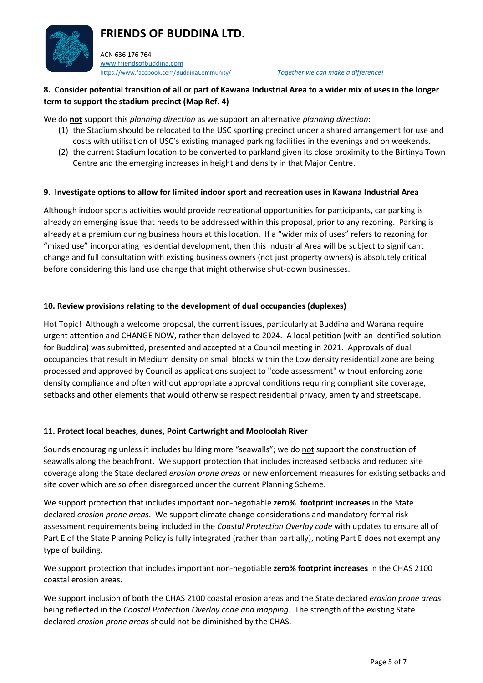

#### **8. Consider potential transition of all or part of Kawana Industrial Area to a wider mix of uses in the longer term to support the stadium precinct (Map Ref. 4)**

We do **not** support this *planning direction* as we support an alternative *planning direction*:

- (1) the Stadium should be relocated to the USC sporting precinct under a shared arrangement for use and costs with utilisation of USC's existing managed parking facilities in the evenings and on weekends.
- (2) the current Stadium location to be converted to parkland given its close proximity to the Birtinya Town Centre and the emerging increases in height and density in that Major Centre.

#### **9. Investigate options to allow for limited indoor sport and recreation uses in Kawana Industrial Area**

Although indoor sports activities would provide recreational opportunities for participants, car parking is already an emerging issue that needs to be addressed within this proposal, prior to any rezoning. Parking is already at a premium during business hours at this location. If a "wider mix of uses" refers to rezoning for "mixed use" incorporating residential development, then this Industrial Area will be subject to significant change and full consultation with existing business owners (not just property owners) is absolutely critical before considering this land use change that might otherwise shut-down businesses.

#### **10. Review provisions relating to the development of dual occupancies (duplexes)**

Hot Topic! Although a welcome proposal, the current issues, particularly at Buddina and Warana require urgent attention and CHANGE NOW, rather than delayed to 2024. A local petition (with an identified solution for Buddina) was submitted, presented and accepted at a Council meeting in 2021. Approvals of dual occupancies that result in Medium density on small blocks within the Low density residential zone are being processed and approved by Council as applications subject to "code assessment" without enforcing zone density compliance and often without appropriate approval conditions requiring compliant site coverage, setbacks and other elements that would otherwise respect residential privacy, amenity and streetscape.

#### **11. Protect local beaches, dunes, Point Cartwright and Mooloolah River**

Sounds encouraging unless it includes building more "seawalls"; we do not support the construction of seawalls along the beachfront. We support protection that includes increased setbacks and reduced site coverage along the State declared *erosion prone areas* or new enforcement measures for existing setbacks and site cover which are so often disregarded under the current Planning Scheme.

We support protection that includes important non-negotiable **zero% footprint increases** in the State declared *erosion prone areas*. We support climate change considerations and mandatory formal risk assessment requirements being included in the *Coastal Protection Overlay code* with updates to ensure all of Part E of the State Planning Policy is fully integrated (rather than partially), noting Part E does not exempt any type of building.

We support protection that includes important non-negotiable **zero% footprint increases** in the CHAS 2100 coastal erosion areas.

We support inclusion of both the CHAS 2100 coastal erosion areas and the State declared *erosion prone areas* being reflected in the *Coastal Protection Overlay code and mapping.* The strength of the existing State declared *erosion prone areas* should not be diminished by the CHAS.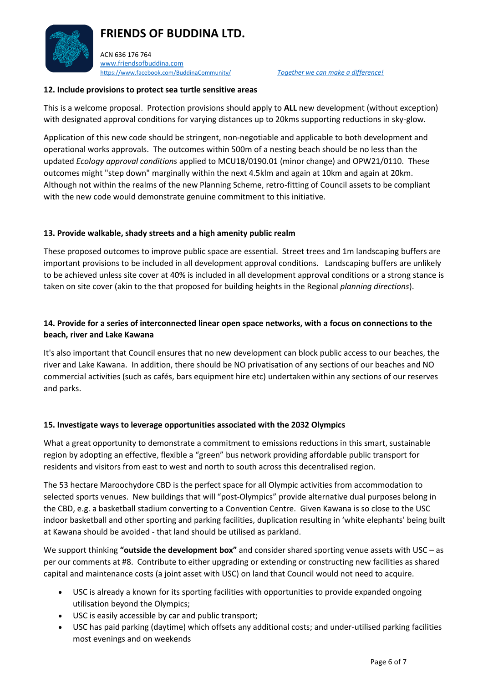ACN 636 176 764 [www.friendsofbuddina.com](http://www.friendsofbuddina.com/) <https://www.facebook.com/BuddinaCommunity/> *Together we can make a difference!* 

#### **12. Include provisions to protect sea turtle sensitive areas**

This is a welcome proposal. Protection provisions should apply to **ALL** new development (without exception) with designated approval conditions for varying distances up to 20kms supporting reductions in sky-glow.

Application of this new code should be stringent, non-negotiable and applicable to both development and operational works approvals. The outcomes within 500m of a nesting beach should be no less than the updated *Ecology approval conditions* applied to MCU18/0190.01 (minor change) and OPW21/0110. These outcomes might "step down" marginally within the next 4.5klm and again at 10km and again at 20km. Although not within the realms of the new Planning Scheme, retro-fitting of Council assets to be compliant with the new code would demonstrate genuine commitment to this initiative.

#### **13. Provide walkable, shady streets and a high amenity public realm**

These proposed outcomes to improve public space are essential. Street trees and 1m landscaping buffers are important provisions to be included in all development approval conditions. Landscaping buffers are unlikely to be achieved unless site cover at 40% is included in all development approval conditions or a strong stance is taken on site cover (akin to the that proposed for building heights in the Regional *planning directions*).

### **14. Provide for a series of interconnected linear open space networks, with a focus on connections to the beach, river and Lake Kawana**

It's also important that Council ensures that no new development can block public access to our beaches, the river and Lake Kawana. In addition, there should be NO privatisation of any sections of our beaches and NO commercial activities (such as cafés, bars equipment hire etc) undertaken within any sections of our reserves and parks.

#### **15. Investigate ways to leverage opportunities associated with the 2032 Olympics**

What a great opportunity to demonstrate a commitment to emissions reductions in this smart, sustainable region by adopting an effective, flexible a "green" bus network providing affordable public transport for residents and visitors from east to west and north to south across this decentralised region.

The 53 hectare Maroochydore CBD is the perfect space for all Olympic activities from accommodation to selected sports venues. New buildings that will "post-Olympics" provide alternative dual purposes belong in the CBD, e.g. a basketball stadium converting to a Convention Centre. Given Kawana is so close to the USC indoor basketball and other sporting and parking facilities, duplication resulting in 'white elephants' being built at Kawana should be avoided - that land should be utilised as parkland.

We support thinking **"outside the development box"** and consider shared sporting venue assets with USC – as per our comments at #8. Contribute to either upgrading or extending or constructing new facilities as shared capital and maintenance costs (a joint asset with USC) on land that Council would not need to acquire.

- USC is already a known for its sporting facilities with opportunities to provide expanded ongoing utilisation beyond the Olympics;
- USC is easily accessible by car and public transport;
- USC has paid parking (daytime) which offsets any additional costs; and under-utilised parking facilities most evenings and on weekends